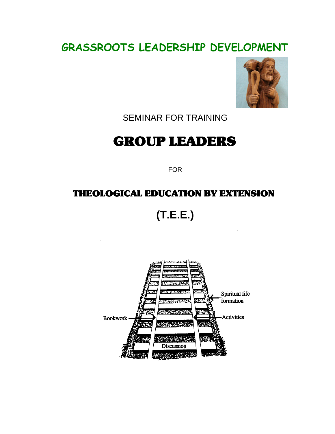# **GRASSROOTS LEADERSHIP DEVELOPMENT**



SEMINAR FOR TRAINING

# GROUP LEADERS

FOR

### THEOLOGICAL EDUCATION BY EXTENSION

**(T.E.E.)**

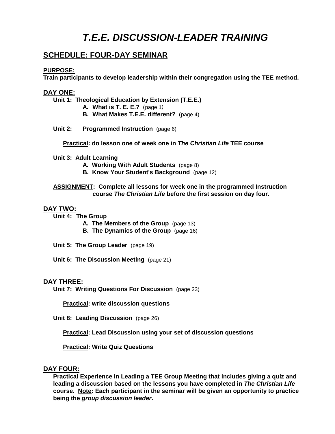## **T.E.E. DISCUSSION-LEADER TRAINING**

#### **SCHEDULE: FOUR-DAY SEMINAR**

#### **PURPOSE:**

**Train participants to develop leadership within their congregation using the TEE method.**

#### **DAY ONE:**

**Unit 1: Theological Education by Extension (T.E.E.)**

- **A. What is T. E. E.?** (page 1)
- **B. What Makes T.E.E. different?** (page 4)
- **Unit 2: Programmed Instruction** (page 6)

**Practical: do lesson one of week one in The Christian Life TEE course**

**Unit 3: Adult Learning**

- **A. Working With Adult Students** (page 8)
- **B. Know Your Student's Background** (page 12)

#### **ASSIGNMENT: Complete all lessons for week one in the programmed Instruction course The Christian Life before the first session on day four.**

#### **DAY TWO:**

**Unit 4: The Group**

- **A. The Members of the Group** (page 13)
- **B. The Dynamics of the Group** (page 16)

**Unit 5: The Group Leader** (page 19)

**Unit 6: The Discussion Meeting** (page 21)

#### **DAY THREE:**

**Unit 7: Writing Questions For Discussion** (page 23)

**Practical: write discussion questions**

**Unit 8: Leading Discussion** (page 26)

**Practical: Lead Discussion using your set of discussion questions**

**Practical: Write Quiz Questions**

#### **DAY FOUR:**

**Practical Experience in Leading a TEE Group Meeting that includes giving a quiz and leading a discussion based on the lessons you have completed in The Christian Life course. Note: Each participant in the seminar will be given an opportunity to practice being the group discussion leader.**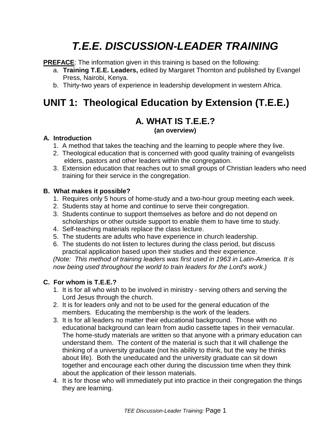# **T.E.E. DISCUSSION-LEADER TRAINING**

**PREFACE:** The information given in this training is based on the following:

- a. **Training T.E.E. Leaders,** edited by Margaret Thornton and published by Evangel Press, Nairobi, Kenya.
- b. Thirty-two years of experience in leadership development in western Africa.

# **UNIT 1: Theological Education by Extension (T.E.E.)**

### **A. WHAT IS T.E.E.?**

#### **(an overview)**

#### **A. Introduction**

- 1. A method that takes the teaching and the learning to people where they live.
- 2. Theological education that is concerned with good quality training of evangelists elders, pastors and other leaders within the congregation.
- 3. Extension education that reaches out to small groups of Christian leaders who need training for their service in the congregation.

#### **B. What makes it possible?**

- 1. Requires only 5 hours of home-study and a two-hour group meeting each week.
- 2. Students stay at home and continue to serve their congregation.
- 3. Students continue to support themselves as before and do not depend on scholarships or other outside support to enable them to have time to study.
- 4. Self-teaching materials replace the class lecture.
- 5. The students are adults who have experience in church leadership.
- 6. The students do not listen to lectures during the class period, but discuss practical application based upon their studies and their experience.

(Note: This method of training leaders was first used in 1963 in Latin-America. It is now being used throughout the world to train leaders for the Lord's work.)

### **C. For whom is T.E.E.?**

- 1. It is for all who wish to be involved in ministry serving others and serving the Lord Jesus through the church.
- 2. It is for leaders only and not to be used for the general education of the members. Educating the membership is the work of the leaders.
- 3. It is for all leaders no matter their educational background. Those with no educational background can learn from audio cassette tapes in their vernacular. The home-study materials are written so that anyone with a primary education can understand them. The content of the material is such that it will challenge the thinking of a university graduate (not his ability to think, but the way he thinks about life). Both the uneducated and the university graduate can sit down together and encourage each other during the discussion time when they think about the application of their lesson materials.
- 4. It is for those who will immediately put into practice in their congregation the things they are learning.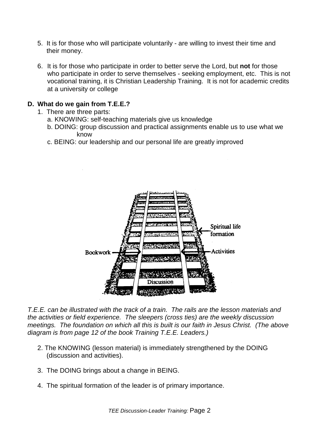- 5. It is for those who will participate voluntarily are willing to invest their time and their money.
- 6. It is for those who participate in order to better serve the Lord, but **not** for those who participate in order to serve themselves - seeking employment, etc. This is not vocational training, it is Christian Leadership Training. It is not for academic credits at a university or college

#### **D. What do we gain from T.E.E.?**

- 1. There are three parts:
	- a. KNOWING: self-teaching materials give us knowledge
	- b. DOING: group discussion and practical assignments enable us to use what we know
	- c. BEING: our leadership and our personal life are greatly improved



T.E.E. can be illustrated with the track of a train. The rails are the lesson materials and the activities or field experience. The sleepers (cross ties) are the weekly discussion meetings. The foundation on which all this is built is our faith in Jesus Christ. (The above diagram is from page 12 of the book Training T.E.E. Leaders.)

- 2. The KNOWING (lesson material) is immediately strengthened by the DOING (discussion and activities).
- 3. The DOING brings about a change in BEING.
- 4. The spiritual formation of the leader is of primary importance.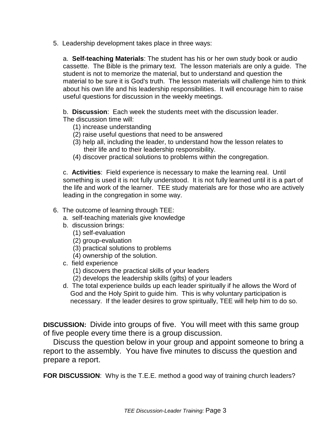5. Leadership development takes place in three ways:

a. **Self-teaching Materials**: The student has his or her own study book or audio cassette. The Bible is the primary text. The lesson materials are only a guide. The student is not to memorize the material, but to understand and question the material to be sure it is God's truth. The lesson materials will challenge him to think about his own life and his leadership responsibilities. It will encourage him to raise useful questions for discussion in the weekly meetings.

b. **Discussion**: Each week the students meet with the discussion leader. The discussion time will:

- (1) increase understanding
- (2) raise useful questions that need to be answered
- (3) help all, including the leader, to understand how the lesson relates to their life and to their leadership responsibility.
- (4) discover practical solutions to problems within the congregation.

c. **Activities**: Field experience is necessary to make the learning real. Until something is used it is not fully understood. It is not fully learned until it is a part of the life and work of the learner. TEE study materials are for those who are actively leading in the congregation in some way.

- 6. The outcome of learning through TEE:
	- a. self-teaching materials give knowledge
	- b. discussion brings:
		- (1) self-evaluation
		- (2) group-evaluation
		- (3) practical solutions to problems
		- (4) ownership of the solution.
	- c. field experience
		- (1) discovers the practical skills of your leaders
		- (2) develops the leadership skills (gifts) of your leaders
	- d. The total experience builds up each leader spiritually if he allows the Word of God and the Holy Spirit to guide him. This is why voluntary participation is necessary. If the leader desires to grow spiritually, TEE will help him to do so.

**DISCUSSION:** Divide into groups of five. You will meet with this same group of five people every time there is a group discussion.

Discuss the question below in your group and appoint someone to bring a report to the assembly. You have five minutes to discuss the question and prepare a report.

**FOR DISCUSSION:** Why is the T.E.E. method a good way of training church leaders?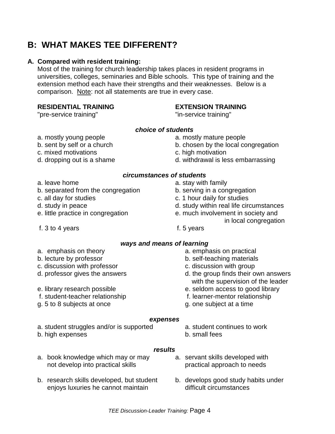### **B: WHAT MAKES TEE DIFFERENT?**

#### **A. Compared with resident training:**

Most of the training for church leadership takes places in resident programs in universities, colleges, seminaries and Bible schools. This type of training and the extension method each have their strengths and their weaknesses. Below is a comparison. Note: not all statements are true in every case.

#### **RESIDENTIAL TRAINING EXTENSION TRAINING**

"pre-service training" The service training" by the service training"

#### **choice of students**

- a. mostly young people a. mostly mature people
- b. sent by self or a church b. chosen by the local congregation
- c. mixed motivations c. high motivation
- 
- 
- b. separated from the congregation b. serving in a congregation
- 
- 
- 
- f. 3 to 4 years f. 5 years
- 
- 
- d. dropping out is a shame d. withdrawal is less embarrassing

#### **circumstances of students**

- a. leave home a. stay with family
	-
- c. all day for studies c. 1 hour daily for studies
- d. study in peace d. study within real life circumstances
- e. little practice in congregation e. much involvement in society and
	- in local congregation
	-

#### **ways and means of learning**

- 
- 
- c. discussion with professor **c.** discussion with group
- 
- 
- 
- g. 5 to 8 subjects at once g. one subject at a time
- a. emphasis on theory a. emphasis on practical
- b. lecture by professor b. self-teaching materials
	-
- d. professor gives the answers d. the group finds their own answers with the supervision of the leader
- e. library research possible e. seldom access to good library
- f. student-teacher relationship f. learner-mentor relationship
	-

#### **expenses**

- a. student struggles and/or is supported a. student continues to work
- b. high expenses b. small fees
- -

#### **results**

- a. book knowledge which may or may a. servant skills developed with not develop into practical skills example approach to needs
- b. research skills developed, but student b. develops good study habits under enjoys luxuries he cannot maintain entity difficult circumstances
- -
- 
- 
- 
-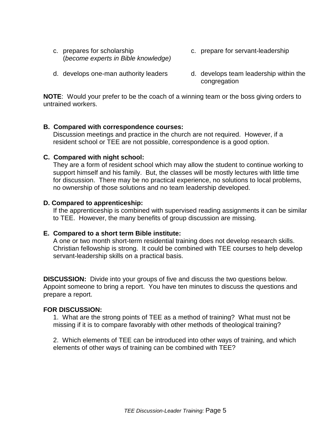- c. prepares for scholarship c. prepare for servant-leadership (become experts in Bible knowledge)
	-
- d. develops one-man authority leaders d. develops team leadership within the congregation

**NOTE**: Would your prefer to be the coach of a winning team or the boss giving orders to untrained workers.

#### **B. Compared with correspondence courses:**

Discussion meetings and practice in the church are not required. However, if a resident school or TEE are not possible, correspondence is a good option.

#### **C. Compared with night school:**

They are a form of resident school which may allow the student to continue working to support himself and his family. But, the classes will be mostly lectures with little time for discussion. There may be no practical experience, no solutions to local problems, no ownership of those solutions and no team leadership developed.

#### **D. Compared to apprenticeship:**

If the apprenticeship is combined with supervised reading assignments it can be similar to TEE. However, the many benefits of group discussion are missing.

#### **E. Compared to a short term Bible institute:**

A one or two month short-term residential training does not develop research skills. Christian fellowship is strong. It could be combined with TEE courses to help develop servant-leadership skills on a practical basis.

**DISCUSSION:** Divide into your groups of five and discuss the two questions below. Appoint someone to bring a report. You have ten minutes to discuss the questions and prepare a report.

#### **FOR DISCUSSION:**

1. What are the strong points of TEE as a method of training? What must not be missing if it is to compare favorably with other methods of theological training?

2. Which elements of TEE can be introduced into other ways of training, and which elements of other ways of training can be combined with TEE?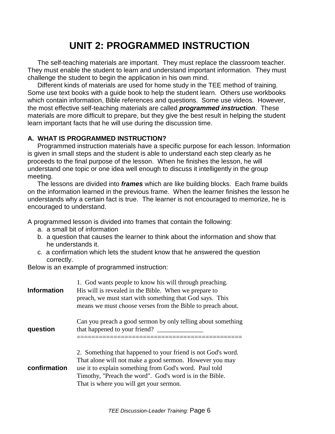## **UNIT 2: PROGRAMMED INSTRUCTION**

The self-teaching materials are important. They must replace the classroom teacher. They must enable the student to learn and understand important information. They must challenge the student to begin the application in his own mind.

Different kinds of materials are used for home study in the TEE method of training. Some use text books with a guide book to help the student learn. Others use workbooks which contain information, Bible references and questions. Some use videos. However, the most effective self-teaching materials are called **programmed instruction**. These materials are more difficult to prepare, but they give the best result in helping the student learn important facts that he will use during the discussion time.

#### **A. WHAT IS PROGRAMMED INSTRUCTION?**

Programmed instruction materials have a specific purpose for each lesson. Information is given in small steps and the student is able to understand each step clearly as he proceeds to the final purpose of the lesson. When he finishes the lesson, he will understand one topic or one idea well enough to discuss it intelligently in the group meeting.

The lessons are divided into **frames** which are like building blocks. Each frame builds on the information learned in the previous frame. When the learner finishes the lesson he understands why a certain fact is true. The learner is not encouraged to memorize, he is encouraged to understand.

A programmed lesson is divided into frames that contain the following:

- a. a small bit of information
- b. a question that causes the learner to think about the information and show that he understands it.
- c. a confirmation which lets the student know that he answered the question correctly.

Below is an example of programmed instruction:

| <b>Information</b> | 1. God wants people to know his will through preaching.<br>His will is revealed in the Bible. When we prepare to<br>preach, we must start with something that God says. This<br>means we must choose verses from the Bible to preach about.                                             |
|--------------------|-----------------------------------------------------------------------------------------------------------------------------------------------------------------------------------------------------------------------------------------------------------------------------------------|
| question           | Can you preach a good sermon by only telling about something<br>that happened to your friend?                                                                                                                                                                                           |
| confirmation       | 2. Something that happened to your friend is not God's word.<br>That alone will not make a good sermon. However you may<br>use it to explain something from God's word. Paul told<br>Timothy, "Preach the word". God's word is in the Bible.<br>That is where you will get your sermon. |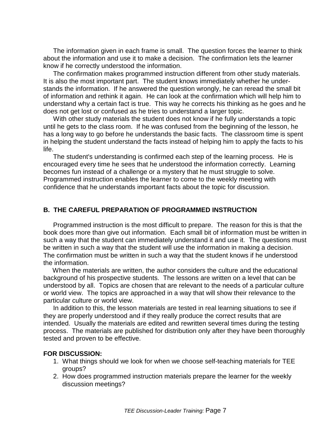The information given in each frame is small. The question forces the learner to think about the information and use it to make a decision. The confirmation lets the learner know if he correctly understood the information.

The confirmation makes programmed instruction different from other study materials. It is also the most important part. The student knows immediately whether he understands the information. If he answered the question wrongly, he can reread the small bit of information and rethink it again. He can look at the confirmation which will help him to understand why a certain fact is true. This way he corrects his thinking as he goes and he does not get lost or confused as he tries to understand a larger topic.

With other study materials the student does not know if he fully understands a topic until he gets to the class room. If he was confused from the beginning of the lesson, he has a long way to go before he understands the basic facts. The classroom time is spent in helping the student understand the facts instead of helping him to apply the facts to his life.

The student's understanding is confirmed each step of the learning process. He is encouraged every time he sees that he understood the information correctly. Learning becomes fun instead of a challenge or a mystery that he must struggle to solve. Programmed instruction enables the learner to come to the weekly meeting with confidence that he understands important facts about the topic for discussion.

#### **B. THE CAREFUL PREPARATION OF PROGRAMMED INSTRUCTION**

Programmed instruction is the most difficult to prepare. The reason for this is that the book does more than give out information. Each small bit of information must be written in such a way that the student can immediately understand it and use it. The questions must be written in such a way that the student will use the information in making a decision. The confirmation must be written in such a way that the student knows if he understood the information.

 When the materials are written, the author considers the culture and the educational background of his prospective students. The lessons are written on a level that can be understood by all. Topics are chosen that are relevant to the needs of a particular culture or world view. The topics are approached in a way that will show their relevance to the particular culture or world view.

In addition to this, the lesson materials are tested in real learning situations to see if they are properly understood and if they really produce the correct results that are intended. Usually the materials are edited and rewritten several times during the testing process. The materials are published for distribution only after they have been thoroughly tested and proven to be effective.

#### **FOR DISCUSSION:**

- 1. What things should we look for when we choose self-teaching materials for TEE groups?
- 2. How does programmed instruction materials prepare the learner for the weekly discussion meetings?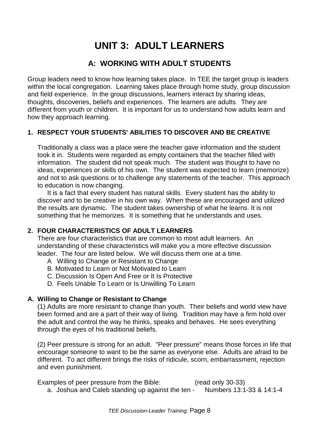# **UNIT 3: ADULT LEARNERS**

### **A: WORKING WITH ADULT STUDENTS**

Group leaders need to know how learning takes place. In TEE the target group is leaders within the local congregation. Learning takes place through home study, group discussion and field experience. In the group discussions, learners interact by sharing ideas, thoughts, discoveries, beliefs and experiences. The learners are adults. They are different from youth or children. It is important for us to understand how adults learn and how they approach learning.

### **1. RESPECT YOUR STUDENTS' ABILITIES TO DISCOVER AND BE CREATIVE**

Traditionally a class was a place were the teacher gave information and the student took it in. Students were regarded as empty containers that the teacher filled with information. The student did not speak much. The student was thought to have no ideas, experiences or skills of his own. The student was expected to learn (memorize) and not to ask questions or to challenge any statements of the teacher. This approach to education is now changing.

It is a fact that every student has natural skills. Every student has the ability to discover and to be creative in his own way. When these are encouraged and utilized the results are dynamic. The student takes ownership of what he learns. It is not something that he memorizes. It is something that he understands and uses.

#### **2. FOUR CHARACTERISTICS OF ADULT LEARNERS**

There are four characteristics that are common to most adult learners. An understanding of these characteristics will make you a more effective discussion leader. The four are listed below. We will discuss them one at a time.

- A Willing to Change or Resistant to Change
- B. Motivated to Learn or Not Motivated to Learn
- C. Discussion Is Open And Free or It Is Protective
- D. Feels Unable To Learn or Is Unwilling To Learn

#### **A. Willing to Change or Resistant to Change**

(1) Adults are more resistant to change than youth. Their beliefs and world view have been formed and are a part of their way of living. Tradition may have a firm hold over the adult and control the way he thinks, speaks and behaves. He sees everything through the eyes of his traditional beliefs.

(2) Peer pressure is strong for an adult. "Peer pressure" means those forces in life that encourage someone to want to be the same as everyone else. Adults are afraid to be different. To act different brings the risks of ridicule, scorn, embarrassment, rejection and even punishment.

Examples of peer pressure from the Bible: (read only 30-33) a. Joshua and Caleb standing up against the ten - Numbers 13:1-33 & 14:1-4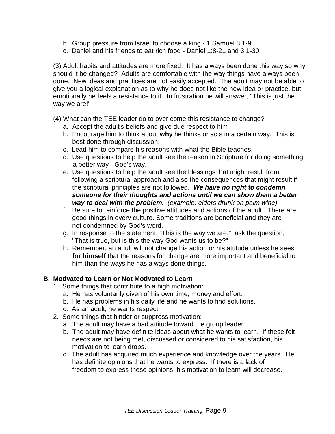- b. Group pressure from Israel to choose a king 1 Samuel 8:1-9
- c. Daniel and his friends to eat rich food Daniel 1:8-21 and 3:1-30

(3) Adult habits and attitudes are more fixed. It has always been done this way so why should it be changed? Adults are comfortable with the way things have always been done. New ideas and practices are not easily accepted. The adult may not be able to give you a logical explanation as to why he does not like the new idea or practice, but emotionally he feels a resistance to it. In frustration he will answer, "This is just the way we are!"

(4) What can the TEE leader do to over come this resistance to change?

- a. Accept the adult's beliefs and give due respect to him
- b. Encourage him to think about **why** he thinks or acts in a certain way. This is best done through discussion.
- c. Lead him to compare his reasons with what the Bible teaches.
- d. Use questions to help the adult see the reason in Scripture for doing something a better way - God's way.
- e. Use questions to help the adult see the blessings that might result from following a scriptural approach and also the consequences that might result if the scriptural principles are not followed. **We have no right to condemn someone for their thoughts and actions until we can show them a better way to deal with the problem.** (example: elders drunk on palm wine)
- f. Be sure to reinforce the positive attitudes and actions of the adult. There are good things in every culture. Some traditions are beneficial and they are not condemned by God's word.
- g. In response to the statement, "This is the way we are," ask the question, "That is true, but is this the way God wants us to be?"
- h. Remember, an adult will not change his action or his attitude unless he sees  **for himself** that the reasons for change are more important and beneficial to him than the ways he has always done things.

#### **B. Motivated to Learn or Not Motivated to Learn**

- 1. Some things that contribute to a high motivation:
	- a. He has voluntarily given of his own time, money and effort.
	- b. He has problems in his daily life and he wants to find solutions.
	- c. As an adult, he wants respect.
- 2. Some things that hinder or suppress motivation:
	- a. The adult may have a bad attitude toward the group leader.
	- b. The adult may have definite ideas about what he wants to learn. If these felt needs are not being met, discussed or considered to his satisfaction, his motivation to learn drops.
	- c. The adult has acquired much experience and knowledge over the years. He has definite opinions that he wants to express. If there is a lack of freedom to express these opinions, his motivation to learn will decrease.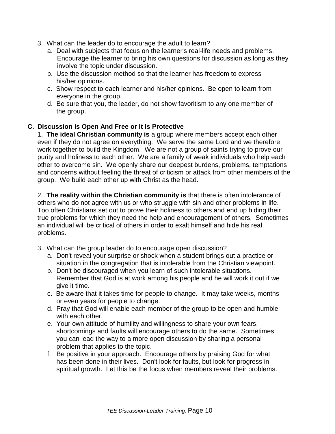- 3. What can the leader do to encourage the adult to learn?
	- a. Deal with subjects that focus on the learner's real-life needs and problems. Encourage the learner to bring his own questions for discussion as long as they involve the topic under discussion.
	- b. Use the discussion method so that the learner has freedom to express his/her opinions.
	- c. Show respect to each learner and his/her opinions. Be open to learn from everyone in the group.
	- d. Be sure that you, the leader, do not show favoritism to any one member of the group.

#### **C. Discussion Is Open And Free or It Is Protective**

1. **The ideal Christian community is** a group where members accept each other even if they do not agree on everything. We serve the same Lord and we therefore work together to build the Kingdom. We are not a group of saints trying to prove our purity and holiness to each other. We are a family of weak individuals who help each other to overcome sin. We openly share our deepest burdens, problems, temptations and concerns without feeling the threat of criticism or attack from other members of the group. We build each other up with Christ as the head.

2. **The reality within the Christian community is** that there is often intolerance of others who do not agree with us or who struggle with sin and other problems in life. Too often Christians set out to prove their holiness to others and end up hiding their true problems for which they need the help and encouragement of others. Sometimes an individual will be critical of others in order to exalt himself and hide his real problems.

- 3. What can the group leader do to encourage open discussion?
	- a. Don't reveal your surprise or shock when a student brings out a practice or situation in the congregation that is intolerable from the Christian viewpoint.
	- b. Don't be discouraged when you learn of such intolerable situations. Remember that God is at work among his people and he will work it out if we give it time.
	- c. Be aware that it takes time for people to change. It may take weeks, months or even years for people to change.
	- d. Pray that God will enable each member of the group to be open and humble with each other.
	- e. Your own attitude of humility and willingness to share your own fears, shortcomings and faults will encourage others to do the same. Sometimes you can lead the way to a more open discussion by sharing a personal problem that applies to the topic.
	- f. Be positive in your approach. Encourage others by praising God for what has been done in their lives. Don't look for faults, but look for progress in spiritual growth. Let this be the focus when members reveal their problems.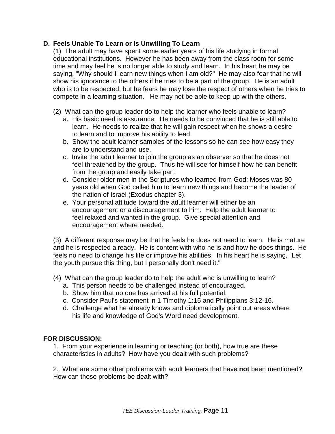#### **D. Feels Unable To Learn or Is Unwilling To Learn**

(1) The adult may have spent some earlier years of his life studying in formal educational institutions. However he has been away from the class room for some time and may feel he is no longer able to study and learn. In his heart he may be saying, "Why should I learn new things when I am old?" He may also fear that he will show his ignorance to the others if he tries to be a part of the group. He is an adult who is to be respected, but he fears he may lose the respect of others when he tries to compete in a learning situation. He may not be able to keep up with the others.

- (2) What can the group leader do to help the learner who feels unable to learn?
	- a. His basic need is assurance. He needs to be convinced that he is still able to learn. He needs to realize that he will gain respect when he shows a desire to learn and to improve his ability to lead.
	- b. Show the adult learner samples of the lessons so he can see how easy they are to understand and use.
	- c. Invite the adult learner to join the group as an observer so that he does not feel threatened by the group. Thus he will see for himself how he can benefit from the group and easily take part.
	- d. Consider older men in the Scriptures who learned from God: Moses was 80 years old when God called him to learn new things and become the leader of the nation of Israel (Exodus chapter 3).
	- e. Your personal attitude toward the adult learner will either be an encouragement or a discouragement to him. Help the adult learner to feel relaxed and wanted in the group. Give special attention and encouragement where needed.

(3) A different response may be that he feels he does not need to learn. He is mature and he is respected already. He is content with who he is and how he does things. He feels no need to change his life or improve his abilities. In his heart he is saying, "Let the youth pursue this thing, but I personally don't need it."

- (4) What can the group leader do to help the adult who is unwilling to learn?
	- a. This person needs to be challenged instead of encouraged.
	- b. Show him that no one has arrived at his full potential.
	- c. Consider Paul's statement in 1 Timothy 1:15 and Philippians 3:12-16.
	- d. Challenge what he already knows and diplomatically point out areas where his life and knowledge of God's Word need development.

#### **FOR DISCUSSION:**

1. From your experience in learning or teaching (or both), how true are these characteristics in adults? How have you dealt with such problems?

2. What are some other problems with adult learners that have **not** been mentioned? How can those problems be dealt with?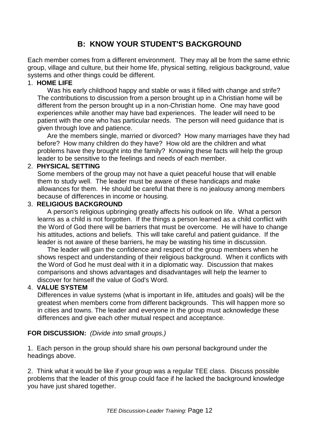### **B: KNOW YOUR STUDENT'S BACKGROUND**

Each member comes from a different environment. They may all be from the same ethnic group, village and culture, but their home life, physical setting, religious background, value systems and other things could be different.

#### 1. **HOME LIFE**

Was his early childhood happy and stable or was it filled with change and strife? The contributions to discussion from a person brought up in a Christian home will be different from the person brought up in a non-Christian home. One may have good experiences while another may have bad experiences. The leader will need to be patient with the one who has particular needs. The person will need guidance that is given through love and patience.

Are the members single, married or divorced? How many marriages have they had before? How many children do they have? How old are the children and what problems have they brought into the family? Knowing these facts will help the group leader to be sensitive to the feelings and needs of each member.

#### 2. **PHYSICAL SETTING**

Some members of the group may not have a quiet peaceful house that will enable them to study well. The leader must be aware of these handicaps and make allowances for them. He should be careful that there is no jealousy among members because of differences in income or housing.

#### 3. **RELIGIOUS BACKGROUND**

A person's religious upbringing greatly affects his outlook on life. What a person learns as a child is not forgotten. If the things a person learned as a child conflict with the Word of God there will be barriers that must be overcome. He will have to change his attitudes, actions and beliefs. This will take careful and patient guidance. If the leader is not aware of these barriers, he may be wasting his time in discussion.

The leader will gain the confidence and respect of the group members when he shows respect and understanding of their religious background. When it conflicts with the Word of God he must deal with it in a diplomatic way. Discussion that makes comparisons and shows advantages and disadvantages will help the learner to discover for himself the value of God's Word.

#### 4. **VALUE SYSTEM**

Differences in value systems (what is important in life, attitudes and goals) will be the greatest when members come from different backgrounds. This will happen more so in cities and towns. The leader and everyone in the group must acknowledge these differences and give each other mutual respect and acceptance.

#### **FOR DISCUSSION:** (Divide into small groups.)

1. Each person in the group should share his own personal background under the headings above.

2. Think what it would be like if your group was a regular TEE class. Discuss possible problems that the leader of this group could face if he lacked the background knowledge you have just shared together.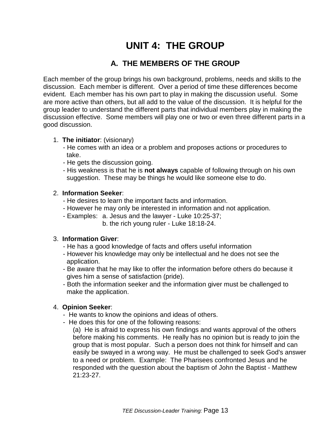# **UNIT 4: THE GROUP**

### **A. THE MEMBERS OF THE GROUP**

Each member of the group brings his own background, problems, needs and skills to the discussion. Each member is different. Over a period of time these differences become evident. Each member has his own part to play in making the discussion useful. Some are more active than others, but all add to the value of the discussion. It is helpful for the group leader to understand the different parts that individual members play in making the discussion effective. Some members will play one or two or even three different parts in a good discussion.

#### 1. **The initiator**: (visionary)

- He comes with an idea or a problem and proposes actions or procedures to take.
- He gets the discussion going.
- His weakness is that he is **not always** capable of following through on his own suggestion. These may be things he would like someone else to do.

#### 2. **Information Seeker**:

- He desires to learn the important facts and information.
- However he may only be interested in information and not application.
- Examples: a. Jesus and the lawyer Luke 10:25-37;
	- b. the rich young ruler Luke 18:18-24.

#### 3. **Information Giver**:

- He has a good knowledge of facts and offers useful information
- However his knowledge may only be intellectual and he does not see the application.
- Be aware that he may like to offer the information before others do because it gives him a sense of satisfaction (pride).
- Both the information seeker and the information giver must be challenged to make the application.

#### 4. **Opinion Seeker**:

- He wants to know the opinions and ideas of others.
- He does this for one of the following reasons:
	- (a) He is afraid to express his own findings and wants approval of the others before making his comments. He really has no opinion but is ready to join the group that is most popular. Such a person does not think for himself and can easily be swayed in a wrong way. He must be challenged to seek God's answer to a need or problem. Example: The Pharisees confronted Jesus and he responded with the question about the baptism of John the Baptist - Matthew  $21:23-27$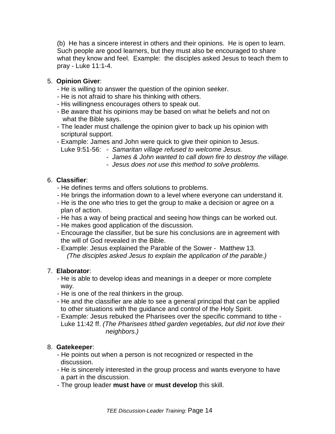(b) He has a sincere interest in others and their opinions. He is open to learn. Such people are good learners, but they must also be encouraged to share what they know and feel. Example: the disciples asked Jesus to teach them to pray - Luke 11:1-4.

#### 5. **Opinion Giver**:

- He is willing to answer the question of the opinion seeker.
- He is not afraid to share his thinking with others.
- His willingness encourages others to speak out.
- Be aware that his opinions may be based on what he beliefs and not on what the Bible says.
- The leader must challenge the opinion giver to back up his opinion with scriptural support.
- Example: James and John were quick to give their opinion to Jesus.
	- Luke 9:51-56: Samaritan village refused to welcome Jesus.
		- James & John wanted to call down fire to destroy the village.
		- Jesus does not use this method to solve problems.

#### 6. **Classifier**:

- He defines terms and offers solutions to problems.
- He brings the information down to a level where everyone can understand it.
- He is the one who tries to get the group to make a decision or agree on a plan of action.
- He has a way of being practical and seeing how things can be worked out.
- He makes good application of the discussion.
- Encourage the classifier, but be sure his conclusions are in agreement with the will of God revealed in the Bible.
- Example: Jesus explained the Parable of the Sower Matthew 13. (The disciples asked Jesus to explain the application of the parable.)

#### 7. **Elaborator**:

- He is able to develop ideas and meanings in a deeper or more complete way.
- He is one of the real thinkers in the group.
- He and the classifier are able to see a general principal that can be applied to other situations with the guidance and control of the Holy Spirit.
- Example: Jesus rebuked the Pharisees over the specific command to tithe Luke 11:42 ff. (The Pharisees tithed garden vegetables, but did not love their neighbors.)

#### 8. **Gatekeeper**:

- He points out when a person is not recognized or respected in the discussion.
- He is sincerely interested in the group process and wants everyone to have a part in the discussion.
- The group leader **must have** or **must develop** this skill.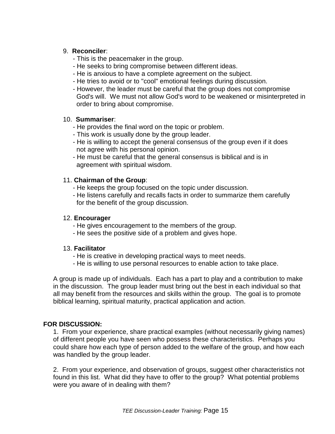#### 9. **Reconciler**:

- This is the peacemaker in the group.
- He seeks to bring compromise between different ideas.
- He is anxious to have a complete agreement on the subject.
- He tries to avoid or to "cool" emotional feelings during discussion.
- However, the leader must be careful that the group does not compromise God's will. We must not allow God's word to be weakened or misinterpreted in order to bring about compromise.

#### 10. **Summariser**:

- He provides the final word on the topic or problem.
- This work is usually done by the group leader.
- He is willing to accept the general consensus of the group even if it does not agree with his personal opinion.
- He must be careful that the general consensus is biblical and is in agreement with spiritual wisdom.

#### 11. **Chairman of the Group**:

- He keeps the group focused on the topic under discussion.
- He listens carefully and recalls facts in order to summarize them carefully for the benefit of the group discussion.

#### 12. **Encourager**

- He gives encouragement to the members of the group.
- He sees the positive side of a problem and gives hope.

#### 13. **Facilitator**

- He is creative in developing practical ways to meet needs.
- He is willing to use personal resources to enable action to take place.

A group is made up of individuals. Each has a part to play and a contribution to make in the discussion. The group leader must bring out the best in each individual so that all may benefit from the resources and skills within the group. The goal is to promote biblical learning, spiritual maturity, practical application and action.

#### **FOR DISCUSSION:**

1. From your experience, share practical examples (without necessarily giving names) of different people you have seen who possess these characteristics. Perhaps you could share how each type of person added to the welfare of the group, and how each was handled by the group leader.

2. From your experience, and observation of groups, suggest other characteristics not found in this list. What did they have to offer to the group? What potential problems were you aware of in dealing with them?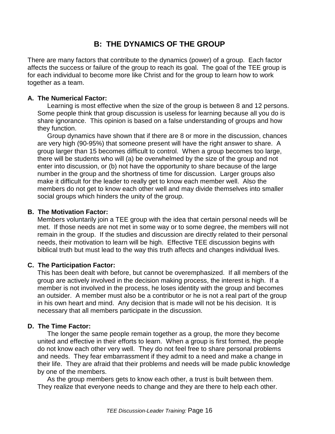### **B: THE DYNAMICS OF THE GROUP**

There are many factors that contribute to the dynamics (power) of a group. Each factor affects the success or failure of the group to reach its goal. The goal of the TEE group is for each individual to become more like Christ and for the group to learn how to work together as a team.

#### **A. The Numerical Factor:**

Learning is most effective when the size of the group is between 8 and 12 persons. Some people think that group discussion is useless for learning because all you do is share ignorance. This opinion is based on a false understanding of groups and how they function.

Group dynamics have shown that if there are 8 or more in the discussion, chances are very high (90-95%) that someone present will have the right answer to share. A group larger than 15 becomes difficult to control. When a group becomes too large, there will be students who will (a) be overwhelmed by the size of the group and not enter into discussion, or (b) not have the opportunity to share because of the large number in the group and the shortness of time for discussion. Larger groups also make it difficult for the leader to really get to know each member well. Also the members do not get to know each other well and may divide themselves into smaller social groups which hinders the unity of the group.

#### **B. The Motivation Factor:**

Members voluntarily join a TEE group with the idea that certain personal needs will be met. If those needs are not met in some way or to some degree, the members will not remain in the group. If the studies and discussion are directly related to their personal needs, their motivation to learn will be high. Effective TEE discussion begins with biblical truth but must lead to the way this truth affects and changes individual lives.

#### **C. The Participation Factor:**

This has been dealt with before, but cannot be overemphasized. If all members of the group are actively involved in the decision making process, the interest is high. If a member is not involved in the process, he loses identity with the group and becomes an outsider. A member must also be a contributor or he is not a real part of the group in his own heart and mind. Any decision that is made will not be his decision. It is necessary that all members participate in the discussion.

#### **D. The Time Factor:**

The longer the same people remain together as a group, the more they become united and effective in their efforts to learn. When a group is first formed, the people do not know each other very well. They do not feel free to share personal problems and needs. They fear embarrassment if they admit to a need and make a change in their life. They are afraid that their problems and needs will be made public knowledge by one of the members.

As the group members gets to know each other, a trust is built between them. They realize that everyone needs to change and they are there to help each other.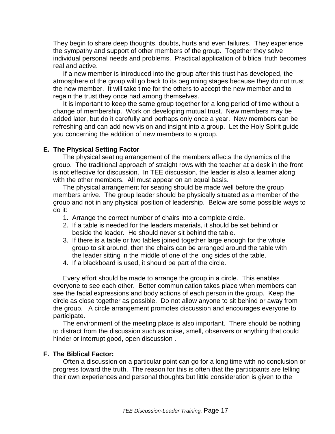They begin to share deep thoughts, doubts, hurts and even failures. They experience the sympathy and support of other members of the group. Together they solve individual personal needs and problems. Practical application of biblical truth becomes real and active.

If a new member is introduced into the group after this trust has developed, the atmosphere of the group will go back to its beginning stages because they do not trust the new member. It will take time for the others to accept the new member and to regain the trust they once had among themselves.

It is important to keep the same group together for a long period of time without a change of membership. Work on developing mutual trust. New members may be added later, but do it carefully and perhaps only once a year. New members can be refreshing and can add new vision and insight into a group. Let the Holy Spirit guide you concerning the addition of new members to a group.

#### **E. The Physical Setting Factor**

The physical seating arrangement of the members affects the dynamics of the group. The traditional approach of straight rows with the teacher at a desk in the front is not effective for discussion. In TEE discussion, the leader is also a learner along with the other members. All must appear on an equal basis.

The physical arrangement for seating should be made well before the group members arrive. The group leader should be physically situated as a member of the group and not in any physical position of leadership. Below are some possible ways to do it:

- 1. Arrange the correct number of chairs into a complete circle.
- 2. If a table is needed for the leaders materials, it should be set behind or beside the leader. He should never sit behind the table.
- 3. If there is a table or two tables joined together large enough for the whole group to sit around, then the chairs can be arranged around the table with the leader sitting in the middle of one of the long sides of the table.
- 4. If a blackboard is used, it should be part of the circle.

Every effort should be made to arrange the group in a circle. This enables everyone to see each other. Better communication takes place when members can see the facial expressions and body actions of each person in the group. Keep the circle as close together as possible. Do not allow anyone to sit behind or away from the group. A circle arrangement promotes discussion and encourages everyone to participate.

The environment of the meeting place is also important. There should be nothing to distract from the discussion such as noise, smell, observers or anything that could hinder or interrupt good, open discussion .

#### **F. The Biblical Factor:**

Often a discussion on a particular point can go for a long time with no conclusion or progress toward the truth. The reason for this is often that the participants are telling their own experiences and personal thoughts but little consideration is given to the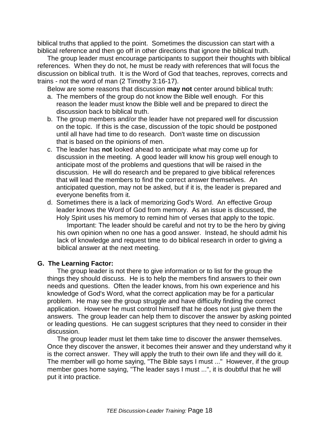biblical truths that applied to the point. Sometimes the discussion can start with a biblical reference and then go off in other directions that ignore the biblical truth.

The group leader must encourage participants to support their thoughts with biblical references. When they do not, he must be ready with references that will focus the discussion on biblical truth. It is the Word of God that teaches, reproves, corrects and trains - not the word of man (2 Timothy 3:16-17).

Below are some reasons that discussion **may not** center around biblical truth:

- a. The members of the group do not know the Bible well enough. For this reason the leader must know the Bible well and be prepared to direct the discussion back to biblical truth.
- b. The group members and/or the leader have not prepared well for discussion on the topic. If this is the case, discussion of the topic should be postponed until all have had time to do research. Don't waste time on discussion that is based on the opinions of men.
- c. The leader has **not** looked ahead to anticipate what may come up for discussion in the meeting. A good leader will know his group well enough to anticipate most of the problems and questions that will be raised in the discussion. He will do research and be prepared to give biblical references that will lead the members to find the correct answer themselves. An anticipated question, may not be asked, but if it is, the leader is prepared and everyone benefits from it.
- d. Sometimes there is a lack of memorizing God's Word. An effective Group leader knows the Word of God from memory. As an issue is discussed, the Holy Spirit uses his memory to remind him of verses that apply to the topic.

Important: The leader should be careful and not try to be the hero by giving his own opinion when no one has a good answer. Instead, he should admit his lack of knowledge and request time to do biblical research in order to giving a biblical answer at the next meeting.

#### **G. The Learning Factor:**

The group leader is not there to give information or to list for the group the things they should discuss. He is to help the members find answers to their own needs and questions. Often the leader knows, from his own experience and his knowledge of God's Word, what the correct application may be for a particular problem. He may see the group struggle and have difficulty finding the correct application. However he must control himself that he does not just give them the answers. The group leader can help them to discover the answer by asking pointed or leading questions. He can suggest scriptures that they need to consider in their discussion.

The group leader must let them take time to discover the answer themselves. Once they discover the answer, it becomes their answer and they understand why it is the correct answer. They will apply the truth to their own life and they will do it. The member will go home saying, "The Bible says I must ..." However, if the group member goes home saying, "The leader says I must ...", it is doubtful that he will put it into practice.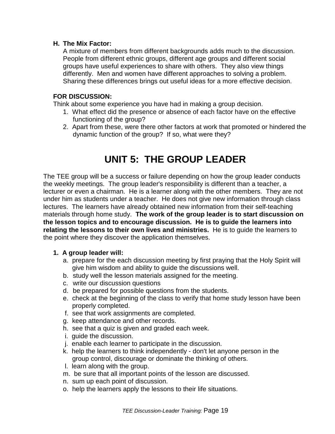#### **H. The Mix Factor:**

A mixture of members from different backgrounds adds much to the discussion. People from different ethnic groups, different age groups and different social groups have useful experiences to share with others. They also view things differently. Men and women have different approaches to solving a problem. Sharing these differences brings out useful ideas for a more effective decision.

#### **FOR DISCUSSION:**

Think about some experience you have had in making a group decision.

- 1. What effect did the presence or absence of each factor have on the effective functioning of the group?
- 2. Apart from these, were there other factors at work that promoted or hindered the dynamic function of the group? If so, what were they?

## **UNIT 5: THE GROUP LEADER**

The TEE group will be a success or failure depending on how the group leader conducts the weekly meetings. The group leader's responsibility is different than a teacher, a lecturer or even a chairman. He is a learner along with the other members. They are not under him as students under a teacher. He does not give new information through class lectures. The learners have already obtained new information from their self-teaching materials through home study. **The work of the group leader is to start discussion on the lesson topics and to encourage discussion. He is to guide the learners into relating the lessons to their own lives and ministries.** He is to guide the learners to the point where they discover the application themselves.

#### **1. A group leader will:**

- a. prepare for the each discussion meeting by first praying that the Holy Spirit will give him wisdom and ability to guide the discussions well.
- b. study well the lesson materials assigned for the meeting.
- c. write our discussion questions
- d. be prepared for possible questions from the students.
- e. check at the beginning of the class to verify that home study lesson have been properly completed.
- f. see that work assignments are completed.
- g. keep attendance and other records.
- h. see that a quiz is given and graded each week.
- i. guide the discussion.
- j. enable each learner to participate in the discussion.
- k. help the learners to think independently don't let anyone person in the group control, discourage or dominate the thinking of others.
- l. learn along with the group.
- m. be sure that all important points of the lesson are discussed.
- n. sum up each point of discussion.
- o. help the learners apply the lessons to their life situations.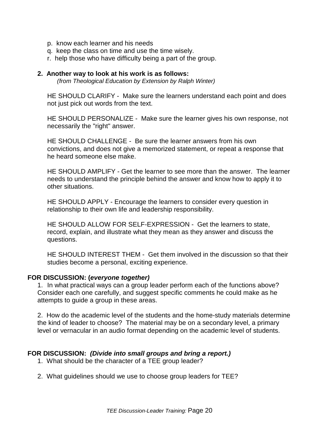- p. know each learner and his needs
- q. keep the class on time and use the time wisely.
- r. help those who have difficulty being a part of the group.

#### **2. Another way to look at his work is as follows:**

(from Theological Education by Extension by Ralph Winter)

HE SHOULD CLARIFY - Make sure the learners understand each point and does not just pick out words from the text.

HE SHOULD PERSONALIZE - Make sure the learner gives his own response, not necessarily the "right" answer.

HE SHOULD CHALLENGE - Be sure the learner answers from his own convictions, and does not give a memorized statement, or repeat a response that he heard someone else make.

HE SHOULD AMPLIFY - Get the learner to see more than the answer. The learner needs to understand the principle behind the answer and know how to apply it to other situations.

HE SHOULD APPLY - Encourage the learners to consider every question in relationship to their own life and leadership responsibility.

HE SHOULD ALLOW FOR SELF-EXPRESSION - Get the learners to state, record, explain, and illustrate what they mean as they answer and discuss the questions.

HE SHOULD INTEREST THEM - Get them involved in the discussion so that their studies become a personal, exciting experience.

#### **FOR DISCUSSION: (everyone together)**

1. In what practical ways can a group leader perform each of the functions above? Consider each one carefully, and suggest specific comments he could make as he attempts to guide a group in these areas.

2. How do the academic level of the students and the home-study materials determine the kind of leader to choose? The material may be on a secondary level, a primary level or vernacular in an audio format depending on the academic level of students.

#### **FOR DISCUSSION: (Divide into small groups and bring a report.)**

- 1. What should be the character of a TEE group leader?
- 2. What guidelines should we use to choose group leaders for TEE?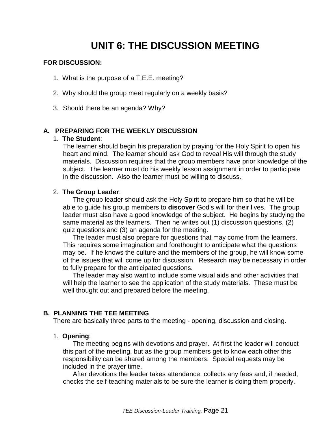## **UNIT 6: THE DISCUSSION MEETING**

#### **FOR DISCUSSION:**

- 1. What is the purpose of a T.E.E. meeting?
- 2. Why should the group meet regularly on a weekly basis?
- 3. Should there be an agenda? Why?

#### **A. PREPARING FOR THE WEEKLY DISCUSSION**

#### 1. **The Student**:

The learner should begin his preparation by praying for the Holy Spirit to open his heart and mind. The learner should ask God to reveal His will through the study materials. Discussion requires that the group members have prior knowledge of the subject. The learner must do his weekly lesson assignment in order to participate in the discussion. Also the learner must be willing to discuss.

#### 2. **The Group Leader**:

The group leader should ask the Holy Spirit to prepare him so that he will be able to guide his group members to **discover** God's will for their lives. The group leader must also have a good knowledge of the subject. He begins by studying the same material as the learners. Then he writes out (1) discussion questions, (2) quiz questions and (3) an agenda for the meeting.

The leader must also prepare for questions that may come from the learners. This requires some imagination and forethought to anticipate what the questions may be. If he knows the culture and the members of the group, he will know some of the issues that will come up for discussion. Research may be necessary in order to fully prepare for the anticipated questions.

The leader may also want to include some visual aids and other activities that will help the learner to see the application of the study materials. These must be well thought out and prepared before the meeting.

#### **B. PLANNING THE TEE MEETING**

There are basically three parts to the meeting - opening, discussion and closing.

#### 1. **Opening**:

The meeting begins with devotions and prayer. At first the leader will conduct this part of the meeting, but as the group members get to know each other this responsibility can be shared among the members. Special requests may be included in the prayer time.

After devotions the leader takes attendance, collects any fees and, if needed, checks the self-teaching materials to be sure the learner is doing them properly.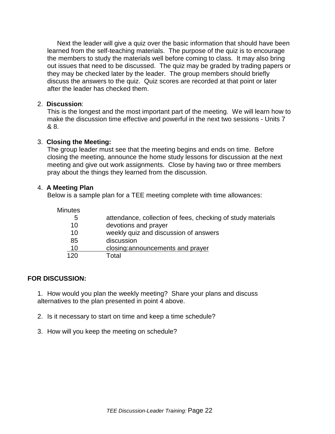Next the leader will give a quiz over the basic information that should have been learned from the self-teaching materials. The purpose of the quiz is to encourage the members to study the materials well before coming to class. It may also bring out issues that need to be discussed. The quiz may be graded by trading papers or they may be checked later by the leader. The group members should briefly discuss the answers to the quiz. Quiz scores are recorded at that point or later after the leader has checked them.

#### 2. **Discussion**:

This is the longest and the most important part of the meeting. We will learn how to make the discussion time effective and powerful in the next two sessions - Units 7 & 8.

#### 3. **Closing the Meeting:**

The group leader must see that the meeting begins and ends on time. Before closing the meeting, announce the home study lessons for discussion at the next meeting and give out work assignments. Close by having two or three members pray about the things they learned from the discussion.

#### 4. **A Meeting Plan**

Below is a sample plan for a TEE meeting complete with time allowances:

| <b>Minutes</b> |                                                             |
|----------------|-------------------------------------------------------------|
| 5              | attendance, collection of fees, checking of study materials |
| 10             | devotions and prayer                                        |
| 10             | weekly quiz and discussion of answers                       |
| 85             | discussion                                                  |
| 10             | closing: announcements and prayer                           |
| 120            | Total                                                       |

#### **FOR DISCUSSION:**

1. How would you plan the weekly meeting? Share your plans and discuss alternatives to the plan presented in point 4 above.

- 2. Is it necessary to start on time and keep a time schedule?
- 3. How will you keep the meeting on schedule?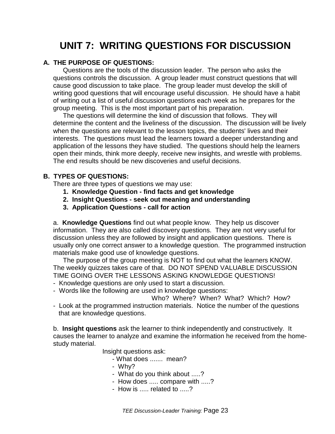## **UNIT 7: WRITING QUESTIONS FOR DISCUSSION**

#### **A. THE PURPOSE OF QUESTIONS:**

Questions are the tools of the discussion leader. The person who asks the questions controls the discussion. A group leader must construct questions that will cause good discussion to take place. The group leader must develop the skill of writing good questions that will encourage useful discussion. He should have a habit of writing out a list of useful discussion questions each week as he prepares for the group meeting. This is the most important part of his preparation.

The questions will determine the kind of discussion that follows. They will determine the content and the liveliness of the discussion. The discussion will be lively when the questions are relevant to the lesson topics, the students' lives and their interests. The questions must lead the learners toward a deeper understanding and application of the lessons they have studied. The questions should help the learners open their minds, think more deeply, receive new insights, and wrestle with problems. The end results should be new discoveries and useful decisions.

#### **B. TYPES OF QUESTIONS:**

There are three types of questions we may use:

- **1. Knowledge Question find facts and get knowledge**
- **2. Insight Questions seek out meaning and understanding**
- **3. Application Questions call for action**

a. **Knowledge Questions** find out what people know. They help us discover information. They are also called discovery questions. They are not very useful for discussion unless they are followed by insight and application questions. There is usually only one correct answer to a knowledge question. The programmed instruction materials make good use of knowledge questions.

The purpose of the group meeting is NOT to find out what the learners KNOW. The weekly quizzes takes care of that. DO NOT SPEND VALUABLE DISCUSSION TIME GOING OVER THE LESSONS ASKING KNOWLEDGE QUESTIONS!

- Knowledge questions are only used to start a discussion.
- Words like the following are used in knowledge questions:

Who? Where? When? What? Which? How?

- Look at the programmed instruction materials. Notice the number of the questions that are knowledge questions.

b. **Insight questions** ask the learner to think independently and constructively. It causes the learner to analyze and examine the information he received from the homestudy material.

Insight questions ask:

- What does ....... mean?
- Why?
- What do you think about .....?
- How does ..... compare with .....?
- How is ..... related to .....?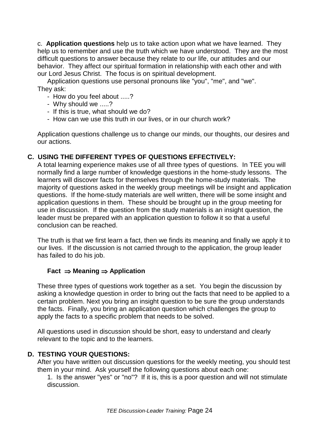c. **Application questions** help us to take action upon what we have learned. They help us to remember and use the truth which we have understood. They are the most difficult questions to answer because they relate to our life, our attitudes and our behavior. They affect our spiritual formation in relationship with each other and with our Lord Jesus Christ. The focus is on spiritual development.

Application questions use personal pronouns like "you", "me", and "we". They ask:

- How do you feel about .....?
- Why should we .....?
- If this is true, what should we do?
- How can we use this truth in our lives, or in our church work?

Application questions challenge us to change our minds, our thoughts, our desires and our actions.

#### **C. USING THE DIFFERENT TYPES OF QUESTIONS EFFECTIVELY:**

A total learning experience makes use of all three types of questions. In TEE you will normally find a large number of knowledge questions in the home-study lessons. The learners will discover facts for themselves through the home-study materials. The majority of questions asked in the weekly group meetings will be insight and application questions. If the home-study materials are well written, there will be some insight and application questions in them. These should be brought up in the group meeting for use in discussion. If the question from the study materials is an insight question, the leader must be prepared with an application question to follow it so that a useful conclusion can be reached.

The truth is that we first learn a fact, then we finds its meaning and finally we apply it to our lives. If the discussion is not carried through to the application, the group leader has failed to do his job.

#### **Fact** ⇒ **Meaning** ⇒ **Application**

These three types of questions work together as a set. You begin the discussion by asking a knowledge question in order to bring out the facts that need to be applied to a certain problem. Next you bring an insight question to be sure the group understands the facts. Finally, you bring an application question which challenges the group to apply the facts to a specific problem that needs to be solved.

All questions used in discussion should be short, easy to understand and clearly relevant to the topic and to the learners.

#### **D. TESTING YOUR QUESTIONS:**

After you have written out discussion questions for the weekly meeting, you should test them in your mind. Ask yourself the following questions about each one:

1. Is the answer "yes" or "no"? If it is, this is a poor question and will not stimulate discussion.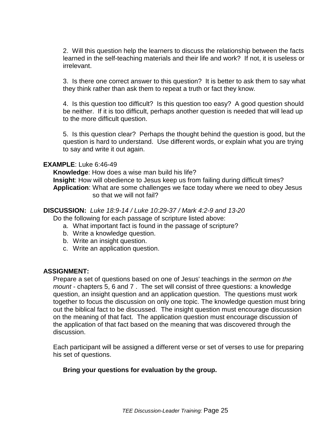2. Will this question help the learners to discuss the relationship between the facts learned in the self-teaching materials and their life and work? If not, it is useless or irrelevant.

3. Is there one correct answer to this question? It is better to ask them to say what they think rather than ask them to repeat a truth or fact they know.

4. Is this question too difficult? Is this question too easy? A good question should be neither. If it is too difficult, perhaps another question is needed that will lead up to the more difficult question.

5. Is this question clear? Perhaps the thought behind the question is good, but the question is hard to understand. Use different words, or explain what you are trying to say and write it out again.

#### **EXAMPLE**: Luke 6:46-49

**Knowledge**: How does a wise man build his life? **Insight**: How will obedience to Jesus keep us from failing during difficult times? **Application**: What are some challenges we face today where we need to obey Jesus so that we will not fail?

#### **DISCUSSION:** Luke 18:9-14 / Luke 10:29-37 / Mark 4:2-9 and 13-20

Do the following for each passage of scripture listed above:

- a. What important fact is found in the passage of scripture?
- b. Write a knowledge question.
- b. Write an insight question.
- c. Write an application question.

#### **ASSIGNMENT:**

Prepare a set of questions based on one of Jesus' teachings in the sermon on the mount - chapters 5, 6 and 7. The set will consist of three questions: a knowledge question, an insight question and an application question. The questions must work together to focus the discussion on only one topic. The knowledge question must bring out the biblical fact to be discussed. The insight question must encourage discussion on the meaning of that fact. The application question must encourage discussion of the application of that fact based on the meaning that was discovered through the discussion.

Each participant will be assigned a different verse or set of verses to use for preparing his set of questions.

#### **Bring your questions for evaluation by the group.**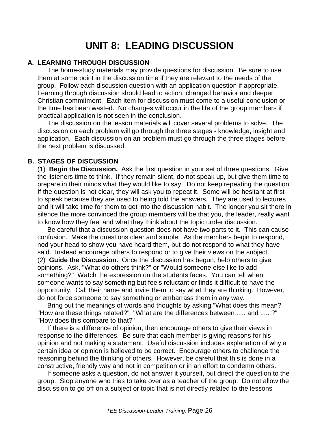### **UNIT 8: LEADING DISCUSSION**

#### **A. LEARNING THROUGH DISCUSSION**

The home-study materials may provide questions for discussion. Be sure to use them at some point in the discussion time if they are relevant to the needs of the group. Follow each discussion question with an application question if appropriate. Learning through discussion should lead to action, changed behavior and deeper Christian commitment. Each item for discussion must come to a useful conclusion or the time has been wasted. No changes will occur in the life of the group members if practical application is not seen in the conclusion.

The discussion on the lesson materials will cover several problems to solve. The discussion on each problem will go through the three stages - knowledge, insight and application. Each discussion on an problem must go through the three stages before the next problem is discussed.

#### **B. STAGES OF DISCUSSION**

(1) **Begin the Discussion.** Ask the first question in your set of three questions. Give the listeners time to think. If they remain silent, do not speak up, but give them time to prepare in their minds what they would like to say. Do not keep repeating the question. If the question is not clear, they will ask you to repeat it. Some will be hesitant at first to speak because they are used to being told the answers. They are used to lectures and it will take time for them to get into the discussion habit. The longer you sit there in silence the more convinced the group members will be that you, the leader, really want to know how they feel and what they think about the topic under discussion.

Be careful that a discussion question does not have two parts to it. This can cause confusion. Make the questions clear and simple. As the members begin to respond, nod your head to show you have heard them, but do not respond to what they have said. Instead encourage others to respond or to give their views on the subject. (2) **Guide the Discussion.** Once the discussion has begun, help others to give opinions. Ask, "What do others think?" or "Would someone else like to add something?" Watch the expression on the students faces. You can tell when someone wants to say something but feels reluctant or finds it difficult to have the opportunity. Call their name and invite them to say what they are thinking. However, do not force someone to say something or embarrass them in any way.

Bring out the meanings of words and thoughts by asking "What does this mean? "How are these things related?" "What are the differences between ..... and ..... ?" "How does this compare to that?"

If there is a difference of opinion, then encourage others to give their views in response to the differences. Be sure that each member is giving reasons for his opinion and not making a statement. Useful discussion includes explanation of why a certain idea or opinion is believed to be correct. Encourage others to challenge the reasoning behind the thinking of others. However, be careful that this is done in a constructive, friendly way and not in competition or in an effort to condemn others.

If someone asks a question, do not answer it yourself, but direct the question to the group. Stop anyone who tries to take over as a teacher of the group. Do not allow the discussion to go off on a subject or topic that is not directly related to the lessons